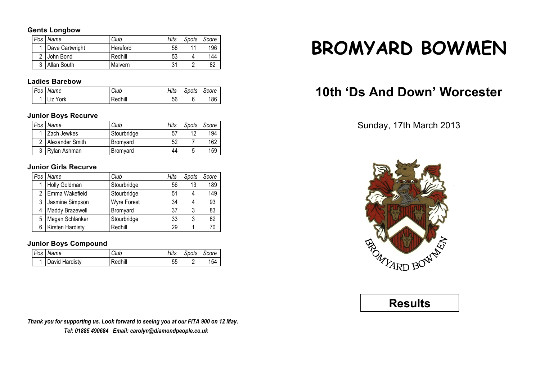### **Gents Longbow**

| Pos | Name            | Club     | Hits | Spots | Score |
|-----|-----------------|----------|------|-------|-------|
|     | Dave Cartwright | Hereford | 58   |       | 196   |
|     | John Bond       | Redhill  | 53   |       | 144   |
|     | Allan South     | Malvern  | 31   |       | 82    |

## **Ladies Barebow**

| Pos Name | Club    | Hits | Spots | Score |
|----------|---------|------|-------|-------|
| Liz York | Redhill | 56   |       | 186   |

### **Junior Boys Recurve**

| Pos | Name            | Club            | Hits | Spots | Score |
|-----|-----------------|-----------------|------|-------|-------|
|     | Zach Jewkes     | Stourbridge     | 57   | 12    | 194   |
|     | Alexander Smith | Bromyard        | 52   |       | 162   |
| 3   | Rylan Ashman    | <b>Bromvard</b> | 44   |       | 159   |

## **Junior Girls Recurve**

| Pos | Name             | Club               | Hits | Spots | Score |
|-----|------------------|--------------------|------|-------|-------|
|     | Holly Goldman    | Stourbridge        | 56   | 13    | 189   |
| 2   | Emma Wakefield   | Stourbridge        | 51   |       | 149   |
| 3   | Jasmine Simpson  | <b>Wyre Forest</b> | 34   |       | 93    |
| 4   | Maddy Brazewell  | Bromyard           | 37   | 3     | 83    |
| 5   | Megan Schlanker  | Stourbridge        | 33   | 3     | 82    |
| 6   | Kirsten Hardisty | Redhill            | 29   |       | 70    |

## **Junior Boys Compound**

| Pos | Name           | Club    | Hits | Spots | Score |
|-----|----------------|---------|------|-------|-------|
|     | David Hardisty | Redhill | ჂჂ   |       | 154   |

*Thank you for supporting us. Look forward to seeing you at our FITA 900 on 12 May. Tel: 01885 490684 Email: carolyn@diamondpeople.co.uk*

# **BROMYARD BOWMEN**

# **10th 'Ds And Down' Worcester**

Sunday, 17th March 2013



## **Results**